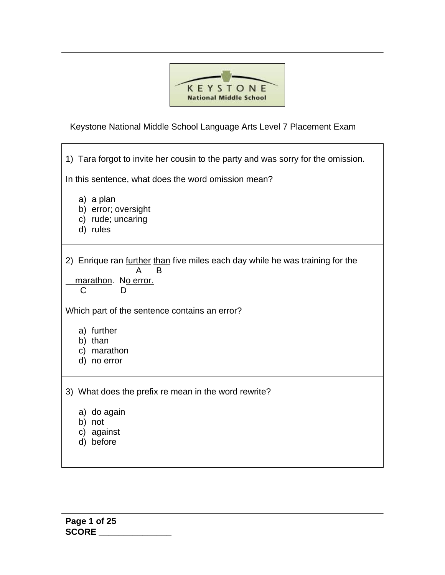

Keystone National Middle School Language Arts Level 7 Placement Exam

1) Tara forgot to invite her cousin to the party and was sorry for the omission. In this sentence, what does the word omission mean? a) a plan b) error; oversight c) rude; uncaring d) rules 2) Enrique ran further than five miles each day while he was training for the A B marathon. No error. C D Which part of the sentence contains an error? a) further b) than c) marathon d) no error 3) What does the prefix re mean in the word rewrite? a) do again b) not c) against d) before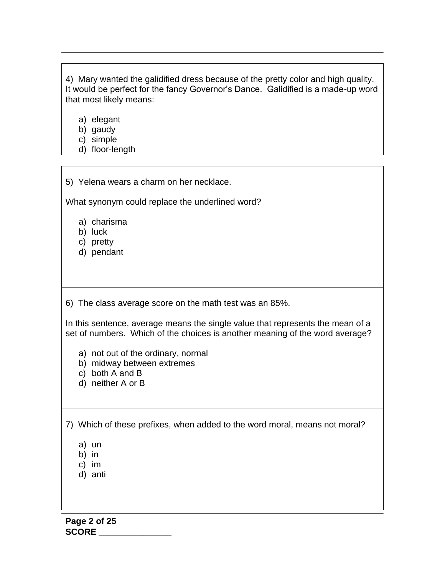4) Mary wanted the galidified dress because of the pretty color and high quality. It would be perfect for the fancy Governor's Dance. Galidified is a made-up word that most likely means:

a) elegant

b) gaudy

- c) simple
- d) floor-length

|  |  | 5) Yelena wears a charm on her necklace. |  |
|--|--|------------------------------------------|--|
|  |  |                                          |  |

What synonym could replace the underlined word?

- a) charisma
- b) luck
- c) pretty
- d) pendant

6) The class average score on the math test was an 85%.

In this sentence, average means the single value that represents the mean of a set of numbers. Which of the choices is another meaning of the word average?

- a) not out of the ordinary, normal
- b) midway between extremes
- c) both A and B
- d) neither A or B

7) Which of these prefixes, when added to the word moral, means not moral?

- b) in
- c) im
- d) anti

a) un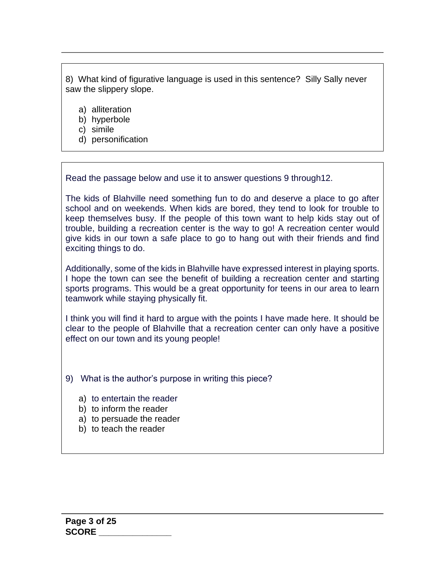8) What kind of figurative language is used in this sentence? Silly Sally never saw the slippery slope.

- a) alliteration
- b) hyperbole
- c) simile
- d) personification

Read the passage below and use it to answer questions 9 through12.

The kids of Blahville need something fun to do and deserve a place to go after school and on weekends. When kids are bored, they tend to look for trouble to keep themselves busy. If the people of this town want to help kids stay out of trouble, building a recreation center is the way to go! A recreation center would give kids in our town a safe place to go to hang out with their friends and find exciting things to do.

Additionally, some of the kids in Blahville have expressed interest in playing sports. I hope the town can see the benefit of building a recreation center and starting sports programs. This would be a great opportunity for teens in our area to learn teamwork while staying physically fit.

I think you will find it hard to argue with the points I have made here. It should be clear to the people of Blahville that a recreation center can only have a positive effect on our town and its young people!

- 9) What is the author's purpose in writing this piece?
	- a) to entertain the reader
	- b) to inform the reader
	- a) to persuade the reader
	- b) to teach the reader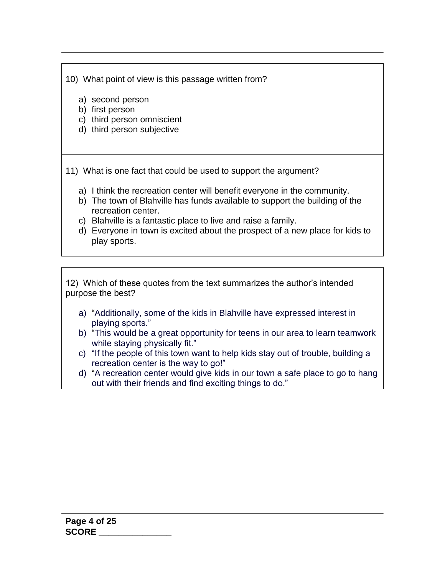10) What point of view is this passage written from?

a) second person

- b) first person
- c) third person omniscient
- d) third person subjective

11) What is one fact that could be used to support the argument?

- a) I think the recreation center will benefit everyone in the community.
- b) The town of Blahville has funds available to support the building of the recreation center.
- c) Blahville is a fantastic place to live and raise a family.
- d) Everyone in town is excited about the prospect of a new place for kids to play sports.

12) Which of these quotes from the text summarizes the author's intended purpose the best?

- a) "Additionally, some of the kids in Blahville have expressed interest in playing sports."
- b) "This would be a great opportunity for teens in our area to learn teamwork while staying physically fit."
- c) "If the people of this town want to help kids stay out of trouble, building a recreation center is the way to go!"
- d) "A recreation center would give kids in our town a safe place to go to hang out with their friends and find exciting things to do."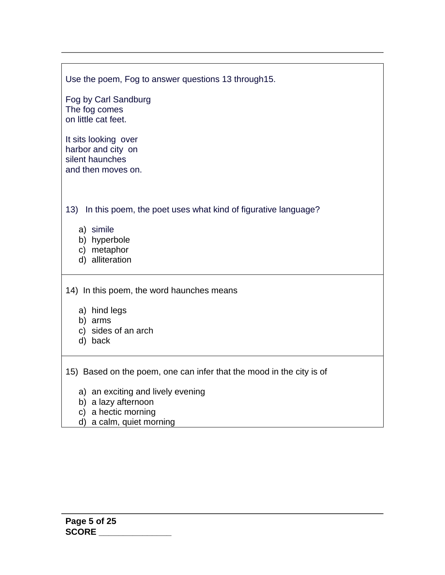| Use the poem, Fog to answer questions 13 through 15.                                                                                                                      |
|---------------------------------------------------------------------------------------------------------------------------------------------------------------------------|
| Fog by Carl Sandburg<br>The fog comes<br>on little cat feet.                                                                                                              |
| It sits looking over<br>harbor and city on<br>silent haunches<br>and then moves on.                                                                                       |
| In this poem, the poet uses what kind of figurative language?<br>13)<br>a) simile<br>b) hyperbole<br>c) metaphor<br>d) alliteration                                       |
| 14) In this poem, the word haunches means<br>a) hind legs<br>b) arms<br>c) sides of an arch<br>d) back                                                                    |
| 15) Based on the poem, one can infer that the mood in the city is of<br>a) an exciting and lively evening<br>b) a lazy afternoon<br>والمستواء ومستنقلة والمستقل المستندان |

- c) a hectic morning
- d) a calm, quiet morning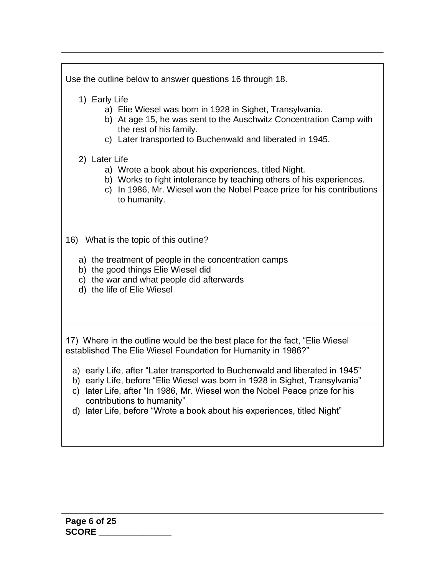| Use the outline below to answer questions 16 through 18.                                                                                                                                                                                                                                                                                                                                                                                                                                              |  |  |  |  |
|-------------------------------------------------------------------------------------------------------------------------------------------------------------------------------------------------------------------------------------------------------------------------------------------------------------------------------------------------------------------------------------------------------------------------------------------------------------------------------------------------------|--|--|--|--|
| 1) Early Life<br>a) Elie Wiesel was born in 1928 in Sighet, Transylvania.<br>b) At age 15, he was sent to the Auschwitz Concentration Camp with<br>the rest of his family.<br>c) Later transported to Buchenwald and liberated in 1945.                                                                                                                                                                                                                                                               |  |  |  |  |
| 2) Later Life<br>a) Wrote a book about his experiences, titled Night.<br>b) Works to fight intolerance by teaching others of his experiences.<br>c) In 1986, Mr. Wiesel won the Nobel Peace prize for his contributions<br>to humanity.                                                                                                                                                                                                                                                               |  |  |  |  |
| 16) What is the topic of this outline?<br>a) the treatment of people in the concentration camps<br>b) the good things Elie Wiesel did<br>c) the war and what people did afterwards<br>d) the life of Elie Wiesel                                                                                                                                                                                                                                                                                      |  |  |  |  |
| 17) Where in the outline would be the best place for the fact, "Elie Wiesel<br>established The Elie Wiesel Foundation for Humanity in 1986?"<br>a) early Life, after "Later transported to Buchenwald and liberated in 1945"<br>b) early Life, before "Elie Wiesel was born in 1928 in Sighet, Transylvania"<br>c) later Life, after "In 1986, Mr. Wiesel won the Nobel Peace prize for his<br>contributions to humanity"<br>d) later Life, before "Wrote a book about his experiences, titled Night" |  |  |  |  |
|                                                                                                                                                                                                                                                                                                                                                                                                                                                                                                       |  |  |  |  |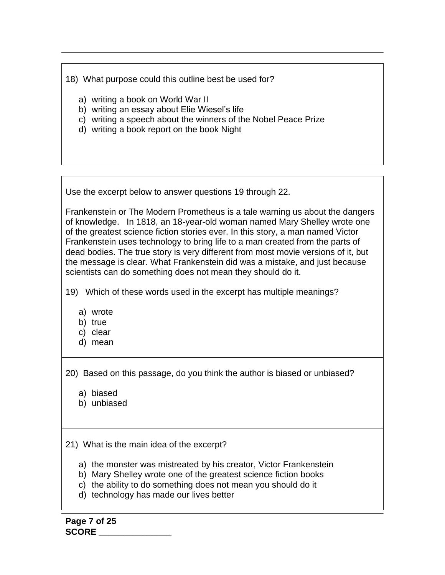18) What purpose could this outline best be used for?

- a) writing a book on World War II
- b) writing an essay about Elie Wiesel's life
- c) writing a speech about the winners of the Nobel Peace Prize
- d) writing a book report on the book Night

Use the excerpt below to answer questions 19 through 22.

Frankenstein or The Modern Prometheus is a tale warning us about the dangers of knowledge. In 1818, an 18-year-old woman named Mary Shelley wrote one of the greatest science fiction stories ever. In this story, a man named Victor Frankenstein uses technology to bring life to a man created from the parts of dead bodies. The true story is very different from most movie versions of it, but the message is clear. What Frankenstein did was a mistake, and just because scientists can do something does not mean they should do it.

19) Which of these words used in the excerpt has multiple meanings?

- a) wrote
- b) true
- c) clear
- d) mean

20) Based on this passage, do you think the author is biased or unbiased?

- a) biased
- b) unbiased

21) What is the main idea of the excerpt?

- a) the monster was mistreated by his creator, Victor Frankenstein
- b) Mary Shelley wrote one of the greatest science fiction books
- c) the ability to do something does not mean you should do it
- d) technology has made our lives better

**Page 7 of 25 SCORE \_\_\_\_\_\_\_\_\_\_\_\_\_\_\_**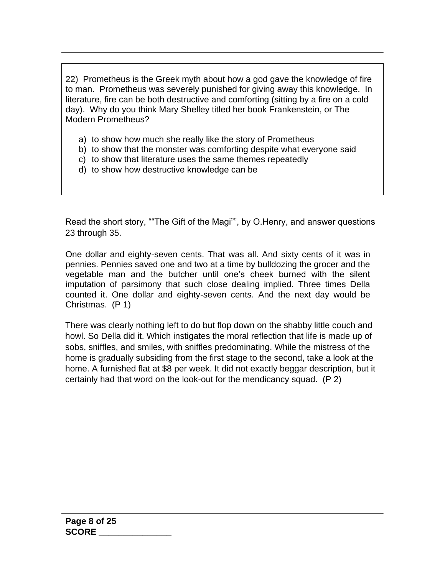22) Prometheus is the Greek myth about how a god gave the knowledge of fire to man. Prometheus was severely punished for giving away this knowledge. In literature, fire can be both destructive and comforting (sitting by a fire on a cold day). Why do you think Mary Shelley titled her book Frankenstein, or The Modern Prometheus?

- a) to show how much she really like the story of Prometheus
- b) to show that the monster was comforting despite what everyone said
- c) to show that literature uses the same themes repeatedly
- d) to show how destructive knowledge can be

Read the short story, ""The Gift of the Magi"", by O.Henry, and answer questions 23 through 35.

One dollar and eighty-seven cents. That was all. And sixty cents of it was in pennies. Pennies saved one and two at a time by bulldozing the grocer and the vegetable man and the butcher until one's cheek burned with the silent imputation of parsimony that such close dealing implied. Three times Della counted it. One dollar and eighty-seven cents. And the next day would be Christmas. (P 1)

There was clearly nothing left to do but flop down on the shabby little couch and howl. So Della did it. Which instigates the moral reflection that life is made up of sobs, sniffles, and smiles, with sniffles predominating. While the mistress of the home is gradually subsiding from the first stage to the second, take a look at the home. A furnished flat at \$8 per week. It did not exactly beggar description, but it certainly had that word on the look-out for the mendicancy squad. (P 2)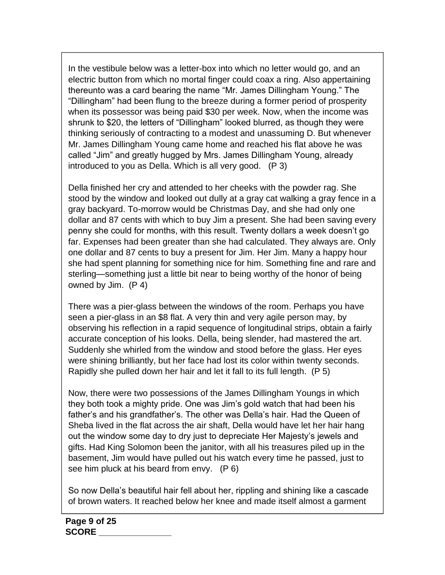In the vestibule below was a letter-box into which no letter would go, and an electric button from which no mortal finger could coax a ring. Also appertaining thereunto was a card bearing the name "Mr. James Dillingham Young." The "Dillingham" had been flung to the breeze during a former period of prosperity when its possessor was being paid \$30 per week. Now, when the income was shrunk to \$20, the letters of "Dillingham" looked blurred, as though they were thinking seriously of contracting to a modest and unassuming D. But whenever Mr. James Dillingham Young came home and reached his flat above he was called "Jim" and greatly hugged by Mrs. James Dillingham Young, already introduced to you as Della. Which is all very good. (P 3)

Della finished her cry and attended to her cheeks with the powder rag. She stood by the window and looked out dully at a gray cat walking a gray fence in a gray backyard. To-morrow would be Christmas Day, and she had only one dollar and 87 cents with which to buy Jim a present. She had been saving every penny she could for months, with this result. Twenty dollars a week doesn't go far. Expenses had been greater than she had calculated. They always are. Only one dollar and 87 cents to buy a present for Jim. Her Jim. Many a happy hour she had spent planning for something nice for him. Something fine and rare and sterling—something just a little bit near to being worthy of the honor of being owned by Jim. (P 4)

There was a pier-glass between the windows of the room. Perhaps you have seen a pier-glass in an \$8 flat. A very thin and very agile person may, by observing his reflection in a rapid sequence of longitudinal strips, obtain a fairly accurate conception of his looks. Della, being slender, had mastered the art. Suddenly she whirled from the window and stood before the glass. Her eyes were shining brilliantly, but her face had lost its color within twenty seconds. Rapidly she pulled down her hair and let it fall to its full length. (P 5)

Now, there were two possessions of the James Dillingham Youngs in which they both took a mighty pride. One was Jim's gold watch that had been his father's and his grandfather's. The other was Della's hair. Had the Queen of Sheba lived in the flat across the air shaft, Della would have let her hair hang out the window some day to dry just to depreciate Her Majesty's jewels and gifts. Had King Solomon been the janitor, with all his treasures piled up in the basement, Jim would have pulled out his watch every time he passed, just to see him pluck at his beard from envy. (P 6)

So now Della's beautiful hair fell about her, rippling and shining like a cascade of brown waters. It reached below her knee and made itself almost a garment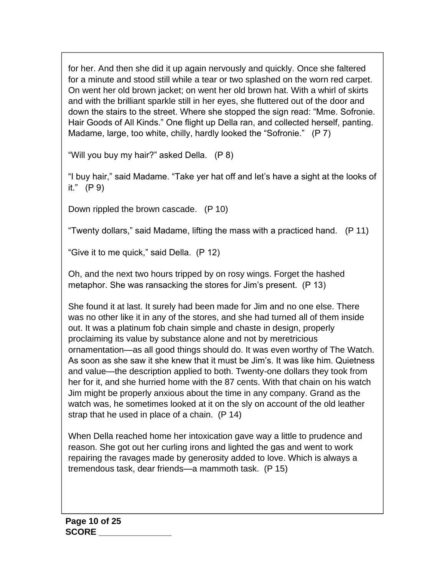for her. And then she did it up again nervously and quickly. Once she faltered for a minute and stood still while a tear or two splashed on the worn red carpet. On went her old brown jacket; on went her old brown hat. With a whirl of skirts and with the brilliant sparkle still in her eyes, she fluttered out of the door and down the stairs to the street. Where she stopped the sign read: "Mme. Sofronie. Hair Goods of All Kinds." One flight up Della ran, and collected herself, panting. Madame, large, too white, chilly, hardly looked the "Sofronie." (P 7)

"Will you buy my hair?" asked Della. (P 8)

"I buy hair," said Madame. "Take yer hat off and let's have a sight at the looks of it." (P 9)

Down rippled the brown cascade. (P 10)

"Twenty dollars," said Madame, lifting the mass with a practiced hand.  $(P 11)$ 

"Give it to me quick," said Della. (P 12)

Oh, and the next two hours tripped by on rosy wings. Forget the hashed metaphor. She was ransacking the stores for Jim's present. (P 13)

She found it at last. It surely had been made for Jim and no one else. There was no other like it in any of the stores, and she had turned all of them inside out. It was a platinum fob chain simple and chaste in design, properly proclaiming its value by substance alone and not by meretricious ornamentation—as all good things should do. It was even worthy of The Watch. As soon as she saw it she knew that it must be Jim's. It was like him. Quietness and value—the description applied to both. Twenty-one dollars they took from her for it, and she hurried home with the 87 cents. With that chain on his watch Jim might be properly anxious about the time in any company. Grand as the watch was, he sometimes looked at it on the sly on account of the old leather strap that he used in place of a chain. (P 14)

When Della reached home her intoxication gave way a little to prudence and reason. She got out her curling irons and lighted the gas and went to work repairing the ravages made by generosity added to love. Which is always a tremendous task, dear friends—a mammoth task. (P 15)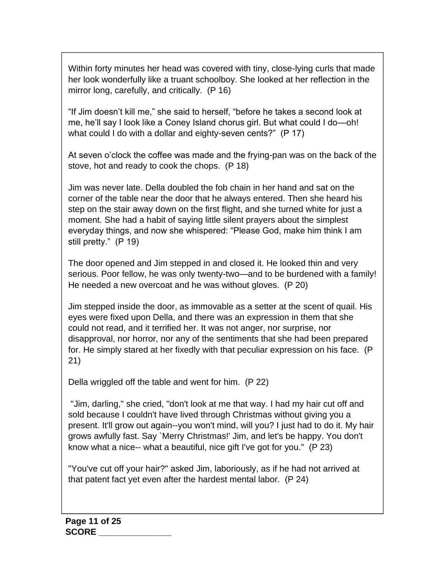Within forty minutes her head was covered with tiny, close-lying curls that made her look wonderfully like a truant schoolboy. She looked at her reflection in the mirror long, carefully, and critically. (P 16)

"If Jim doesn't kill me," she said to herself, "before he takes a second look at me, he'll say I look like a Coney Island chorus girl. But what could I do—oh! what could I do with a dollar and eighty-seven cents?" (P 17)

At seven o'clock the coffee was made and the frying-pan was on the back of the stove, hot and ready to cook the chops. (P 18)

Jim was never late. Della doubled the fob chain in her hand and sat on the corner of the table near the door that he always entered. Then she heard his step on the stair away down on the first flight, and she turned white for just a moment. She had a habit of saying little silent prayers about the simplest everyday things, and now she whispered: "Please God, make him think I am still pretty." (P 19)

The door opened and Jim stepped in and closed it. He looked thin and very serious. Poor fellow, he was only twenty-two—and to be burdened with a family! He needed a new overcoat and he was without gloves. (P 20)

Jim stepped inside the door, as immovable as a setter at the scent of quail. His eyes were fixed upon Della, and there was an expression in them that she could not read, and it terrified her. It was not anger, nor surprise, nor disapproval, nor horror, nor any of the sentiments that she had been prepared for. He simply stared at her fixedly with that peculiar expression on his face. (P 21)

Della wriggled off the table and went for him. (P 22)

"Jim, darling," she cried, "don't look at me that way. I had my hair cut off and sold because I couldn't have lived through Christmas without giving you a present. It'll grow out again--you won't mind, will you? I just had to do it. My hair grows awfully fast. Say `Merry Christmas!' Jim, and let's be happy. You don't know what a nice-- what a beautiful, nice gift I've got for you." (P 23)

"You've cut off your hair?" asked Jim, laboriously, as if he had not arrived at that patent fact yet even after the hardest mental labor. (P 24)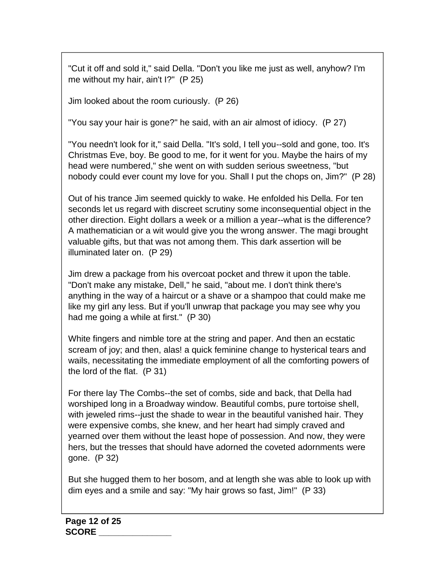"Cut it off and sold it," said Della. "Don't you like me just as well, anyhow? I'm me without my hair, ain't I?" (P 25)

Jim looked about the room curiously. (P 26)

"You say your hair is gone?" he said, with an air almost of idiocy. (P 27)

"You needn't look for it," said Della. "It's sold, I tell you--sold and gone, too. It's Christmas Eve, boy. Be good to me, for it went for you. Maybe the hairs of my head were numbered," she went on with sudden serious sweetness, "but nobody could ever count my love for you. Shall I put the chops on, Jim?" (P 28)

Out of his trance Jim seemed quickly to wake. He enfolded his Della. For ten seconds let us regard with discreet scrutiny some inconsequential object in the other direction. Eight dollars a week or a million a year--what is the difference? A mathematician or a wit would give you the wrong answer. The magi brought valuable gifts, but that was not among them. This dark assertion will be illuminated later on. (P 29)

Jim drew a package from his overcoat pocket and threw it upon the table. "Don't make any mistake, Dell," he said, "about me. I don't think there's anything in the way of a haircut or a shave or a shampoo that could make me like my girl any less. But if you'll unwrap that package you may see why you had me going a while at first." (P 30)

White fingers and nimble tore at the string and paper. And then an ecstatic scream of joy; and then, alas! a quick feminine change to hysterical tears and wails, necessitating the immediate employment of all the comforting powers of the lord of the flat. (P 31)

For there lay The Combs--the set of combs, side and back, that Della had worshiped long in a Broadway window. Beautiful combs, pure tortoise shell, with jeweled rims--just the shade to wear in the beautiful vanished hair. They were expensive combs, she knew, and her heart had simply craved and yearned over them without the least hope of possession. And now, they were hers, but the tresses that should have adorned the coveted adornments were gone. (P 32)

But she hugged them to her bosom, and at length she was able to look up with dim eyes and a smile and say: "My hair grows so fast, Jim!" (P 33)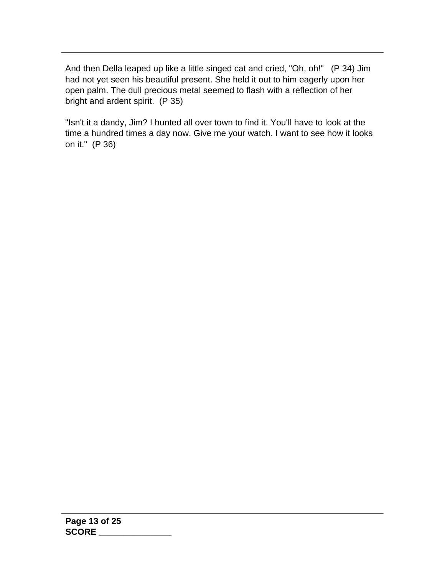And then Della leaped up like a little singed cat and cried, "Oh, oh!" (P 34) Jim had not yet seen his beautiful present. She held it out to him eagerly upon her open palm. The dull precious metal seemed to flash with a reflection of her bright and ardent spirit. (P 35)

"Isn't it a dandy, Jim? I hunted all over town to find it. You'll have to look at the time a hundred times a day now. Give me your watch. I want to see how it looks on it." (P 36)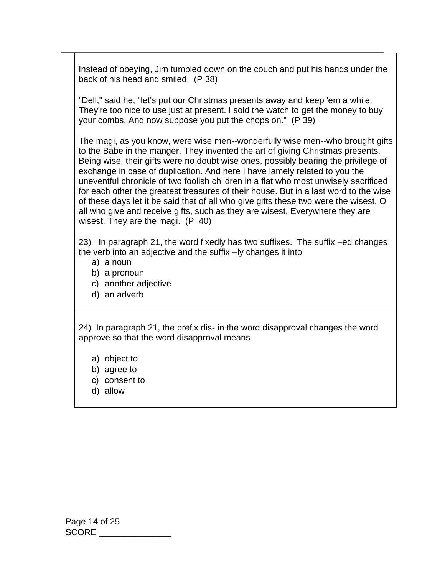Instead of obeying, Jim tumbled down on the couch and put his hands under the back of his head and smiled. (P 38)

"Dell," said he, "let's put our Christmas presents away and keep 'em a while. They're too nice to use just at present. I sold the watch to get the money to buy your combs. And now suppose you put the chops on." (P 39)

The magi, as you know, were wise men--wonderfully wise men--who brought gifts to the Babe in the manger. They invented the art of giving Christmas presents. Being wise, their gifts were no doubt wise ones, possibly bearing the privilege of exchange in case of duplication. And here I have lamely related to you the uneventful chronicle of two foolish children in a flat who most unwisely sacrificed for each other the greatest treasures of their house. But in a last word to the wise of these days let it be said that of all who give gifts these two were the wisest. O all who give and receive gifts, such as they are wisest. Everywhere they are wisest. They are the magi. (P 40)

23) In paragraph 21, the word fixedly has two suffixes. The suffix –ed changes the verb into an adjective and the suffix –ly changes it into

- a) a noun
- b) a pronoun
- c) another adjective
- d) an adverb

24) In paragraph 21, the prefix dis- in the word disapproval changes the word approve so that the word disapproval means

- a) object to
- b) agree to
- c) consent to
- d) allow

Page 14 of 25 SCORE \_\_\_\_\_\_\_\_\_\_\_\_\_\_\_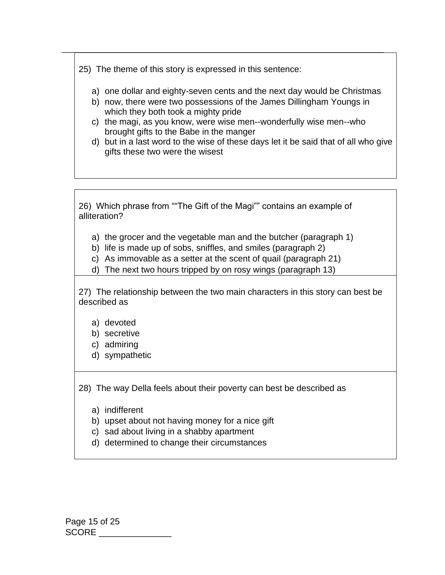25) The theme of this story is expressed in this sentence:

- a) one dollar and eighty-seven cents and the next day would be Christmas
- b) now, there were two possessions of the James Dillingham Youngs in which they both took a mighty pride
- c) the magi, as you know, were wise men--wonderfully wise men--who brought gifts to the Babe in the manger
- d) but in a last word to the wise of these days let it be said that of all who give gifts these two were the wisest

26) Which phrase from ""The Gift of the Magi"" contains an example of alliteration?

- a) the grocer and the vegetable man and the butcher (paragraph 1)
- b) life is made up of sobs, sniffles, and smiles (paragraph 2)
- c) As immovable as a setter at the scent of quail (paragraph 21)
- d) The next two hours tripped by on rosy wings (paragraph 13)

27) The relationship between the two main characters in this story can best be described as

- a) devoted
- b) secretive
- c) admiring
- d) sympathetic

28) The way Della feels about their poverty can best be described as

- a) indifferent
- b) upset about not having money for a nice gift
- c) sad about living in a shabby apartment
- d) determined to change their circumstances

Page 15 of 25 SCORE \_\_\_\_\_\_\_\_\_\_\_\_\_\_\_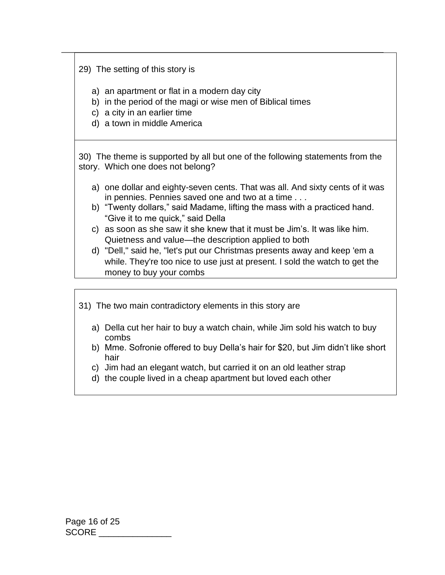29) The setting of this story is

- a) an apartment or flat in a modern day city
- b) in the period of the magi or wise men of Biblical times
- c) a city in an earlier time
- d) a town in middle America

30) The theme is supported by all but one of the following statements from the story. Which one does not belong?

- a) one dollar and eighty-seven cents. That was all. And sixty cents of it was in pennies. Pennies saved one and two at a time . . .
- b) "Twenty dollars," said Madame, lifting the mass with a practiced hand. "Give it to me quick," said Della
- c) as soon as she saw it she knew that it must be Jim's. It was like him. Quietness and value—the description applied to both
- d) "Dell," said he, "let's put our Christmas presents away and keep 'em a while. They're too nice to use just at present. I sold the watch to get the money to buy your combs
- 31) The two main contradictory elements in this story are
	- a) Della cut her hair to buy a watch chain, while Jim sold his watch to buy combs
	- b) Mme. Sofronie offered to buy Della's hair for \$20, but Jim didn't like short hair
	- c) Jim had an elegant watch, but carried it on an old leather strap
	- d) the couple lived in a cheap apartment but loved each other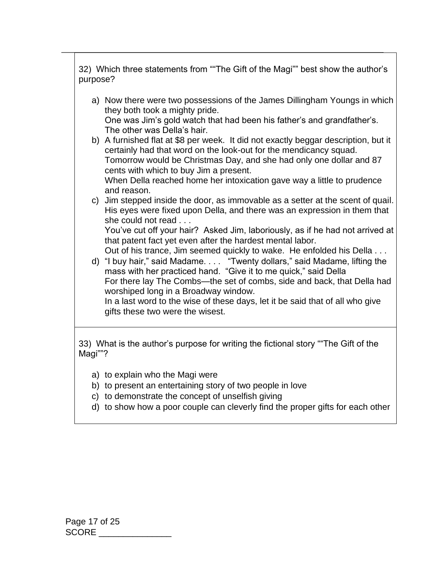| 32) Which three statements from ""The Gift of the Magi"" best show the author's<br>purpose?                                                                                                                                                                              |  |  |  |  |
|--------------------------------------------------------------------------------------------------------------------------------------------------------------------------------------------------------------------------------------------------------------------------|--|--|--|--|
| a) Now there were two possessions of the James Dillingham Youngs in which<br>they both took a mighty pride.                                                                                                                                                              |  |  |  |  |
| One was Jim's gold watch that had been his father's and grandfather's.<br>The other was Della's hair.                                                                                                                                                                    |  |  |  |  |
| b) A furnished flat at \$8 per week. It did not exactly beggar description, but it<br>certainly had that word on the look-out for the mendicancy squad.<br>Tomorrow would be Christmas Day, and she had only one dollar and 87<br>cents with which to buy Jim a present. |  |  |  |  |
| When Della reached home her intoxication gave way a little to prudence<br>and reason.                                                                                                                                                                                    |  |  |  |  |
| c) Jim stepped inside the door, as immovable as a setter at the scent of quail.<br>His eyes were fixed upon Della, and there was an expression in them that<br>she could not read                                                                                        |  |  |  |  |
| You've cut off your hair? Asked Jim, laboriously, as if he had not arrived at<br>that patent fact yet even after the hardest mental labor.                                                                                                                               |  |  |  |  |
| Out of his trance, Jim seemed quickly to wake. He enfolded his Della<br>d) "I buy hair," said Madame. "Twenty dollars," said Madame, lifting the<br>mass with her practiced hand. "Give it to me quick," said Della                                                      |  |  |  |  |
| For there lay The Combs-the set of combs, side and back, that Della had<br>worshiped long in a Broadway window.                                                                                                                                                          |  |  |  |  |
| In a last word to the wise of these days, let it be said that of all who give<br>gifts these two were the wisest.                                                                                                                                                        |  |  |  |  |
| 33) What is the author's purpose for writing the fictional story "The Gift of the<br>Magi""?                                                                                                                                                                             |  |  |  |  |
| a) to explain who the Magi were                                                                                                                                                                                                                                          |  |  |  |  |

┓

- b) to present an entertaining story of two people in love
- c) to demonstrate the concept of unselfish giving
- d) to show how a poor couple can cleverly find the proper gifts for each other

 $\Box$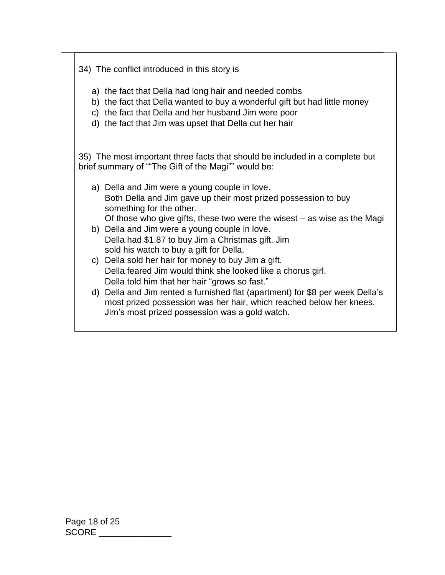34) The conflict introduced in this story is

a) the fact that Della had long hair and needed combs

- b) the fact that Della wanted to buy a wonderful gift but had little money
- c) the fact that Della and her husband Jim were poor
- d) the fact that Jim was upset that Della cut her hair

35) The most important three facts that should be included in a complete but brief summary of ""The Gift of the Magi"" would be:

| a) Della and Jim were a young couple in love.<br>Both Della and Jim gave up their most prized possession to buy |
|-----------------------------------------------------------------------------------------------------------------|
| something for the other.                                                                                        |
| Of those who give gifts, these two were the wisest $-$ as wise as the Magi                                      |
| b) Della and Jim were a young couple in love.                                                                   |
| Della had \$1.87 to buy Jim a Christmas gift. Jim                                                               |
| sold his watch to buy a gift for Della.                                                                         |
| c) Della sold her hair for money to buy Jim a gift.                                                             |
| Della feared Jim would think she looked like a chorus girl.                                                     |
| Della told him that her hair "grows so fast."                                                                   |
| d) Della and Jim rented a furnished flat (apartment) for \$8 per week Della's                                   |
| most prized possession was her hair, which reached below her knees.                                             |
| Jim's most prized possession was a gold watch.                                                                  |
|                                                                                                                 |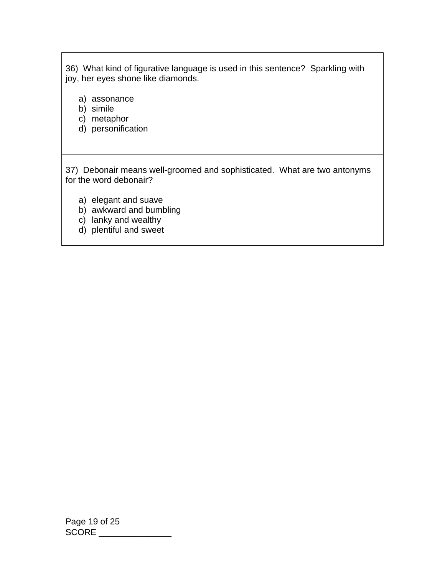36) What kind of figurative language is used in this sentence? Sparkling with joy, her eyes shone like diamonds.

- a) assonance
- b) simile
- c) metaphor
- d) personification

37) Debonair means well-groomed and sophisticated. What are two antonyms for the word debonair?

- a) elegant and suave
- b) awkward and bumbling
- c) lanky and wealthy
- d) plentiful and sweet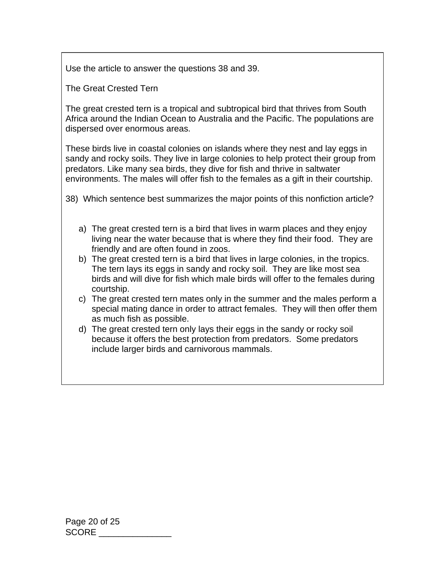Use the article to answer the questions 38 and 39.

The Great Crested Tern

The great crested tern is a tropical and subtropical bird that thrives from South Africa around the Indian Ocean to Australia and the Pacific. The populations are dispersed over enormous areas.

These birds live in coastal colonies on islands where they nest and lay eggs in sandy and rocky soils. They live in large colonies to help protect their group from predators. Like many sea birds, they dive for fish and thrive in saltwater environments. The males will offer fish to the females as a gift in their courtship.

38) Which sentence best summarizes the major points of this nonfiction article?

- a) The great crested tern is a bird that lives in warm places and they enjoy living near the water because that is where they find their food. They are friendly and are often found in zoos.
- b) The great crested tern is a bird that lives in large colonies, in the tropics. The tern lays its eggs in sandy and rocky soil. They are like most sea birds and will dive for fish which male birds will offer to the females during courtship.
- c) The great crested tern mates only in the summer and the males perform a special mating dance in order to attract females. They will then offer them as much fish as possible.
- d) The great crested tern only lays their eggs in the sandy or rocky soil because it offers the best protection from predators. Some predators include larger birds and carnivorous mammals.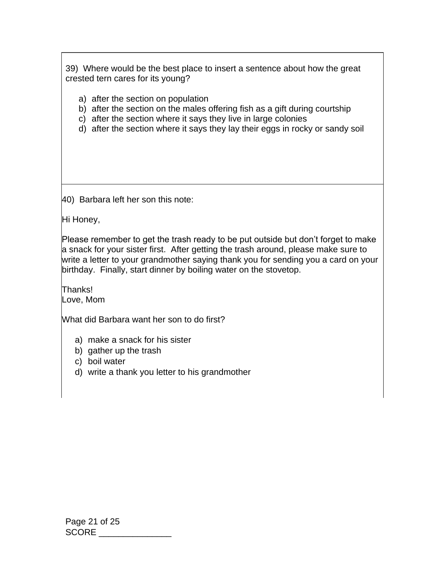39) Where would be the best place to insert a sentence about how the great crested tern cares for its young?

- a) after the section on population
- b) after the section on the males offering fish as a gift during courtship
- c) after the section where it says they live in large colonies
- d) after the section where it says they lay their eggs in rocky or sandy soil

40) Barbara left her son this note:

Hi Honey,

Please remember to get the trash ready to be put outside but don't forget to make a snack for your sister first. After getting the trash around, please make sure to write a letter to your grandmother saying thank you for sending you a card on your birthday. Finally, start dinner by boiling water on the stovetop.

Thanks! Love, Mom

What did Barbara want her son to do first?

- a) make a snack for his sister
- b) gather up the trash
- c) boil water
- d) write a thank you letter to his grandmother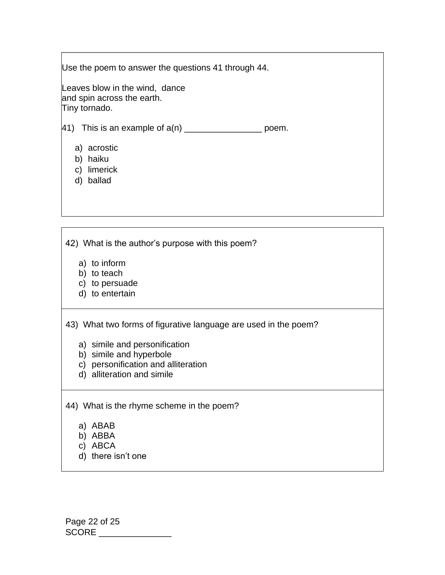Use the poem to answer the questions 41 through 44.

Leaves blow in the wind, dance and spin across the earth. Tiny tornado.

41) This is an example of  $a(n)$  \_\_\_\_\_\_\_\_\_\_\_\_\_\_\_\_\_\_\_\_\_ poem.

- a) acrostic
- b) haiku
- c) limerick
- d) ballad

42) What is the author's purpose with this poem?

- a) to inform
- b) to teach
- c) to persuade
- d) to entertain

43) What two forms of figurative language are used in the poem?

- a) simile and personification
- b) simile and hyperbole
- c) personification and alliteration
- d) alliteration and simile

44) What is the rhyme scheme in the poem?

- a) ABAB
- b) ABBA
- c) ABCA
- d) there isn't one

Page 22 of 25 SCORE \_\_\_\_\_\_\_\_\_\_\_\_\_\_\_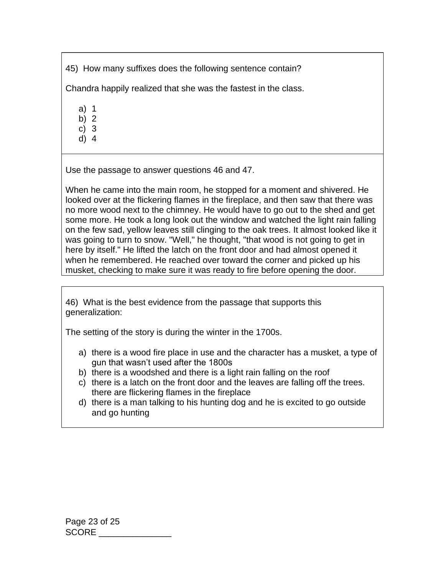45) How many suffixes does the following sentence contain?

Chandra happily realized that she was the fastest in the class.

a) 1

- b) 2
- c) 3 d) 4

Use the passage to answer questions 46 and 47.

When he came into the main room, he stopped for a moment and shivered. He looked over at the flickering flames in the fireplace, and then saw that there was no more wood next to the chimney. He would have to go out to the shed and get some more. He took a long look out the window and watched the light rain falling on the few sad, yellow leaves still clinging to the oak trees. It almost looked like it was going to turn to snow. "Well," he thought, "that wood is not going to get in here by itself." He lifted the latch on the front door and had almost opened it when he remembered. He reached over toward the corner and picked up his musket, checking to make sure it was ready to fire before opening the door.

46) What is the best evidence from the passage that supports this generalization:

The setting of the story is during the winter in the 1700s.

- a) there is a wood fire place in use and the character has a musket, a type of gun that wasn't used after the 1800s
- b) there is a woodshed and there is a light rain falling on the roof
- c) there is a latch on the front door and the leaves are falling off the trees. there are flickering flames in the fireplace
- d) there is a man talking to his hunting dog and he is excited to go outside and go hunting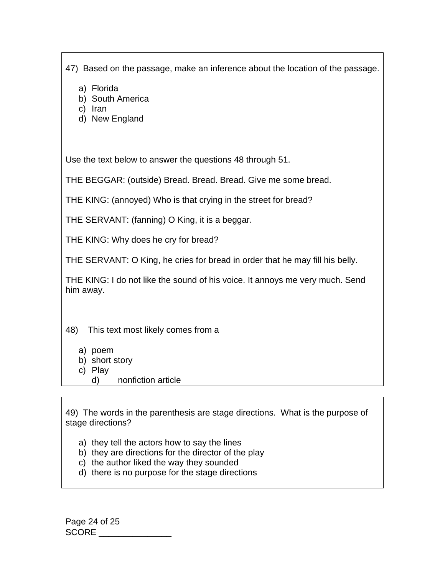47) Based on the passage, make an inference about the location of the passage.

- a) Florida
- b) South America
- c) Iran
- d) New England

Use the text below to answer the questions 48 through 51.

THE BEGGAR: (outside) Bread. Bread. Bread. Give me some bread.

THE KING: (annoyed) Who is that crying in the street for bread?

THE SERVANT: (fanning) O King, it is a beggar.

THE KING: Why does he cry for bread?

THE SERVANT: O King, he cries for bread in order that he may fill his belly.

THE KING: I do not like the sound of his voice. It annoys me very much. Send him away.

48) This text most likely comes from a

- a) poem
- b) short story
- c) Play
	- d) nonfiction article

49) The words in the parenthesis are stage directions. What is the purpose of stage directions?

- a) they tell the actors how to say the lines
- b) they are directions for the director of the play
- c) the author liked the way they sounded
- d) there is no purpose for the stage directions

Page 24 of 25 SCORE \_\_\_\_\_\_\_\_\_\_\_\_\_\_\_